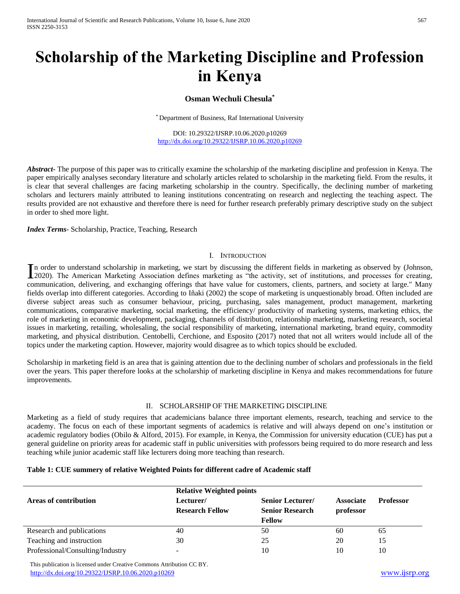# **Scholarship of the Marketing Discipline and Profession in Kenya**

# **Osman Wechuli Chesula\***

\* Department of Business, Raf International University

DOI: 10.29322/IJSRP.10.06.2020.p10269 <http://dx.doi.org/10.29322/IJSRP.10.06.2020.p10269>

*Abstract***-** The purpose of this paper was to critically examine the scholarship of the marketing discipline and profession in Kenya. The paper empirically analyses secondary literature and scholarly articles related to scholarship in the marketing field. From the results, it is clear that several challenges are facing marketing scholarship in the country. Specifically, the declining number of marketing scholars and lecturers mainly attributed to leaning institutions concentrating on research and neglecting the teaching aspect. The results provided are not exhaustive and therefore there is need for further research preferably primary descriptive study on the subject in order to shed more light.

*Index Terms*- Scholarship, Practice, Teaching, Research

#### I. INTRODUCTION

n order to understand scholarship in marketing, we start by discussing the different fields in marketing as observed by (Johnson, In order to understand scholarship in marketing, we start by discussing the different fields in marketing as observed by (Johnson, 2020). The American Marketing Association defines marketing as "the activity, set of instit communication, delivering, and exchanging offerings that have value for customers, clients, partners, and society at large." Many fields overlap into different categories. According to Iñaki (2002) the scope of marketing is unquestionably broad. Often included are diverse subject areas such as consumer behaviour, pricing, purchasing, sales management, product management, marketing communications, comparative marketing, social marketing, the efficiency/ productivity of marketing systems, marketing ethics, the role of marketing in economic development, packaging, channels of distribution, relationship marketing, marketing research, societal issues in marketing, retailing, wholesaling, the social responsibility of marketing, international marketing, brand equity, commodity marketing, and physical distribution. Centobelli, Cerchione, and Esposito (2017) noted that not all writers would include all of the topics under the marketing caption. However, majority would disagree as to which topics should be excluded.

Scholarship in marketing field is an area that is gaining attention due to the declining number of scholars and professionals in the field over the years. This paper therefore looks at the scholarship of marketing discipline in Kenya and makes recommendations for future improvements.

## II. SCHOLARSHIP OF THE MARKETING DISCIPLINE

Marketing as a field of study requires that academicians balance three important elements, research, teaching and service to the academy. The focus on each of these important segments of academics is relative and will always depend on one's institution or academic regulatory bodies (Obilo & Alford, 2015). For example, in Kenya, the Commission for university education (CUE) has put a general guideline on priority areas for academic staff in public universities with professors being required to do more research and less teaching while junior academic staff like lecturers doing more teaching than research.

|                                  | <b>Relative Weighted points</b> |                         |                  |                  |
|----------------------------------|---------------------------------|-------------------------|------------------|------------------|
| Areas of contribution            | Lecturer/                       | <b>Senior Lecturer/</b> | <b>Associate</b> | <b>Professor</b> |
|                                  | <b>Research Fellow</b>          | <b>Senior Research</b>  | professor        |                  |
|                                  |                                 | <b>Fellow</b>           |                  |                  |
| Research and publications        | 40                              | 50                      | 60               | 65               |
| Teaching and instruction         | 30                              | 25                      | 20               | 15               |
| Professional/Consulting/Industry | $\overline{\phantom{a}}$        | 10                      | 10               | 10               |

 This publication is licensed under Creative Commons Attribution CC BY. <http://dx.doi.org/10.29322/IJSRP.10.06.2020.p10269> [www.ijsrp.org](http://ijsrp.org/)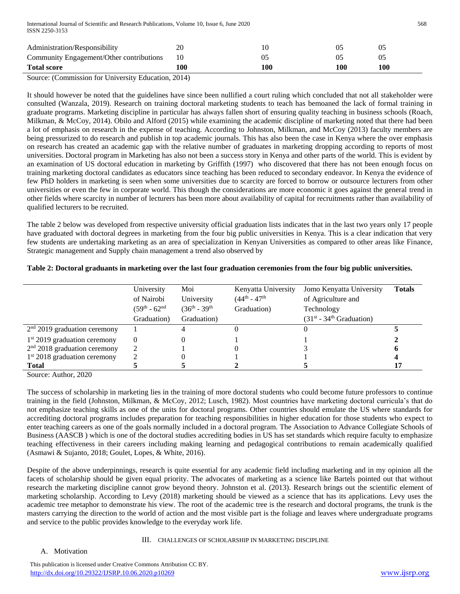| Administration/Responsibility               | 20  |     |     |     |
|---------------------------------------------|-----|-----|-----|-----|
| Community Engagement/Other contributions 10 |     |     |     |     |
| <b>Total score</b>                          | .00 | 100 | 100 | 100 |

Source: (Commission for University Education, 2014)

It should however be noted that the guidelines have since been nullified a court ruling which concluded that not all stakeholder were consulted (Wanzala, 2019). Research on training doctoral marketing students to teach has bemoaned the lack of formal training in graduate programs. Marketing discipline in particular has always fallen short of ensuring quality teaching in business schools (Roach, Milkman, & McCoy, 2014). Obilo and Alford (2015) while examining the academic discipline of marketing noted that there had been a lot of emphasis on research in the expense of teaching. According to Johnston, Milkman, and McCoy (2013) faculty members are being pressurized to do research and publish in top academic journals. This has also been the case in Kenya where the over emphasis on research has created an academic gap with the relative number of graduates in marketing dropping according to reports of most universities. Doctoral program in Marketing has also not been a success story in Kenya and other parts of the world. This is evident by an examination of US doctoral education in marketing by Griffith (1997) who discovered that there has not been enough focus on training marketing doctoral candidates as educators since teaching has been reduced to secondary endeavor. In Kenya the evidence of few PhD holders in marketing is seen when some universities due to scarcity are forced to borrow or outsource lecturers from other universities or even the few in corporate world. This though the considerations are more economic it goes against the general trend in other fields where scarcity in number of lecturers has been more about availability of capital for recruitments rather than availability of qualified lecturers to be recruited.

The table 2 below was developed from respective university official graduation lists indicates that in the last two years only 17 people have graduated with doctoral degrees in marketing from the four big public universities in Kenya. This is a clear indication that very few students are undertaking marketing as an area of specialization in Kenyan Universities as compared to other areas like Finance, Strategic management and Supply chain management a trend also observed by

|                                | University<br>of Nairobi<br>$(59th - 62nd)$<br>Graduation) | Moi<br>University<br>$(36^{th} - 39^{th})$<br>Graduation) | Kenyatta University<br>$(44^{\text{th}} - 47^{\text{th}})$<br>Graduation) | Jomo Kenyatta University<br>of Agriculture and<br>Technology<br>$(31st - 34th Gradient)$ | <b>Totals</b> |
|--------------------------------|------------------------------------------------------------|-----------------------------------------------------------|---------------------------------------------------------------------------|------------------------------------------------------------------------------------------|---------------|
| $2nd$ 2019 graduation ceremony |                                                            |                                                           |                                                                           |                                                                                          |               |
| $1st$ 2019 graduation ceremony | $\theta$                                                   |                                                           |                                                                           |                                                                                          |               |
| $2nd$ 2018 graduation ceremony |                                                            |                                                           |                                                                           |                                                                                          |               |
| $1st 2018$ graduation ceremony |                                                            |                                                           |                                                                           |                                                                                          |               |
| <b>Total</b>                   |                                                            |                                                           |                                                                           |                                                                                          |               |

# **Table 2: Doctoral graduants in marketing over the last four graduation ceremonies from the four big public universities.**

Source: Author, 2020

The success of scholarship in marketing lies in the training of more doctoral students who could become future professors to continue training in the field (Johnston, Milkman, & McCoy, 2012; Lusch, 1982). Most countries have marketing doctoral curricula's that do not emphasize teaching skills as one of the units for doctoral programs. Other countries should emulate the US where standards for accrediting doctoral programs includes preparation for teaching responsibilities in higher education for those students who expect to enter teaching careers as one of the goals normally included in a doctoral program. The Association to Advance Collegiate Schools of Business (AASCB ) which is one of the doctoral studies accrediting bodies in US has set standards which require faculty to emphasize teaching effectiveness in their careers including making learning and pedagogical contributions to remain academically qualified (Asmawi & Sujanto, 2018; Goulet, Lopes, & White, 2016).

Despite of the above underpinnings, research is quite essential for any academic field including marketing and in my opinion all the facets of scholarship should be given equal priority. The advocates of marketing as a science like Bartels pointed out that without research the marketing discipline cannot grow beyond theory. Johnston et al. (2013). Research brings out the scientific element of marketing scholarship. According to Levy (2018) marketing should be viewed as a science that has its applications. Levy uses the academic tree metaphor to demonstrate his view. The root of the academic tree is the research and doctoral programs, the trunk is the masters carrying the direction to the world of action and the most visible part is the foliage and leaves where undergraduate programs and service to the public provides knowledge to the everyday work life.

# III. CHALLENGES OF SCHOLARSHIP IN MARKETING DISCIPLINE

# A. Motivation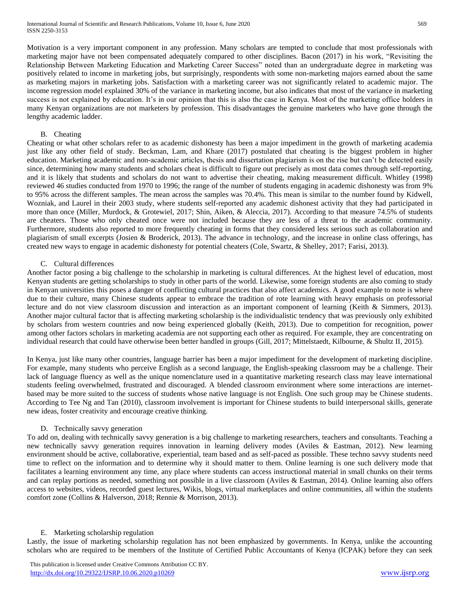Motivation is a very important component in any profession. Many scholars are tempted to conclude that most professionals with marketing major have not been compensated adequately compared to other disciplines. Bacon (2017) in his work, "Revisiting the Relationship Between Marketing Education and Marketing Career Success" noted than an undergraduate degree in marketing was positively related to income in marketing jobs, but surprisingly, respondents with some non-marketing majors earned about the same as marketing majors in marketing jobs. Satisfaction with a marketing career was not significantly related to academic major. The income regression model explained 30% of the variance in marketing income, but also indicates that most of the variance in marketing success is not explained by education. It's in our opinion that this is also the case in Kenya. Most of the marketing office holders in many Kenyan organizations are not marketers by profession. This disadvantages the genuine marketers who have gone through the lengthy academic ladder.

## B. Cheating

Cheating or what other scholars refer to as academic dishonesty has been a major impediment in the growth of marketing academia just like any other field of study. Beckman, Lam, and Khare (2017) postulated that cheating is the biggest problem in higher education. Marketing academic and non-academic articles, thesis and dissertation plagiarism is on the rise but can't be detected easily since, determining how many students and scholars cheat is difficult to figure out precisely as most data comes through self-reporting, and it is likely that students and scholars do not want to advertise their cheating, making measurement difficult. Whitley (1998) reviewed 46 studies conducted from 1970 to 1996; the range of the number of students engaging in academic dishonesty was from 9% to 95% across the different samples. The mean across the samples was 70.4%. This mean is similar to the number found by Kidwell, Wozniak, and Laurel in their 2003 study, where students self-reported any academic dishonest activity that they had participated in more than once (Miller, Murdock, & Grotewiel, 2017; Shin, Aiken, & Aleccia, 2017). According to that measure 74.5% of students are cheaters. Those who only cheated once were not included because they are less of a threat to the academic community. Furthermore, students also reported to more frequently cheating in forms that they considered less serious such as collaboration and plagiarism of small excerpts (Josien & Broderick, 2013). The advance in technology, and the increase in online class offerings, has created new ways to engage in academic dishonesty for potential cheaters (Cole, Swartz, & Shelley, 2017; Farisi, 2013).

## C. Cultural differences

Another factor posing a big challenge to the scholarship in marketing is cultural differences. At the highest level of education, most Kenyan students are getting scholarships to study in other parts of the world. Likewise, some foreign students are also coming to study in Kenyan universities this poses a danger of conflicting cultural practices that also affect academics. A good example to note is where due to their culture, many Chinese students appear to embrace the tradition of rote learning with heavy emphasis on professorial lecture and do not view classroom discussion and interaction as an important component of learning (Keith & Simmers, 2013). Another major cultural factor that is affecting marketing scholarship is the individualistic tendency that was previously only exhibited by scholars from western countries and now being experienced globally (Keith, 2013). Due to competition for recognition, power among other factors scholars in marketing academia are not supporting each other as required. For example, they are concentrating on individual research that could have otherwise been better handled in groups (Gill, 2017; Mittelstaedt, Kilbourne, & Shultz II, 2015).

In Kenya, just like many other countries, language barrier has been a major impediment for the development of marketing discipline. For example, many students who perceive English as a second language, the English-speaking classroom may be a challenge. Their lack of language fluency as well as the unique nomenclature used in a quantitative marketing research class may leave international students feeling overwhelmed, frustrated and discouraged. A blended classroom environment where some interactions are internetbased may be more suited to the success of students whose native language is not English. One such group may be Chinese students. According to Tee Ng and Tan (2010), classroom involvement is important for Chinese students to build interpersonal skills, generate new ideas, foster creativity and encourage creative thinking.

## D. Technically savvy generation

To add on, dealing with technically savvy generation is a big challenge to marketing researchers, teachers and consultants. Teaching a new technically savvy generation requires innovation in learning delivery modes (Aviles & Eastman, 2012). New learning environment should be active, collaborative, experiential, team based and as self-paced as possible. These techno savvy students need time to reflect on the information and to determine why it should matter to them. Online learning is one such delivery mode that facilitates a learning environment any time, any place where students can access instructional material in small chunks on their terms and can replay portions as needed, something not possible in a live classroom (Aviles & Eastman, 2014). Online learning also offers access to websites, videos, recorded guest lectures, Wikis, blogs, virtual marketplaces and online communities, all within the students comfort zone (Collins & Halverson, 2018; Rennie & Morrison, 2013).

## E. Marketing scholarship regulation

Lastly, the issue of marketing scholarship regulation has not been emphasized by governments. In Kenya, unlike the accounting scholars who are required to be members of the Institute of Certified Public Accountants of Kenya (ICPAK) before they can seek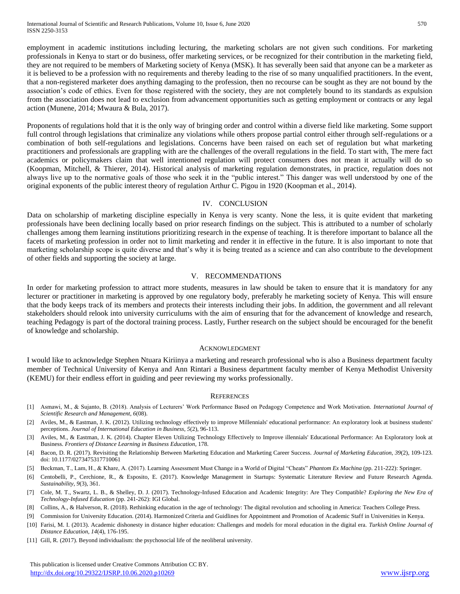employment in academic institutions including lecturing, the marketing scholars are not given such conditions. For marketing professionals in Kenya to start or do business, offer marketing services, or be recognized for their contribution in the marketing field, they are not required to be members of Marketing society of Kenya (MSK). It has severally been said that anyone can be a marketer as it is believed to be a profession with no requirements and thereby leading to the rise of so many unqualified practitioners. In the event, that a non-registered marketer does anything damaging to the profession, then no recourse can be sought as they are not bound by the association's code of ethics. Even for those registered with the society, they are not completely bound to its standards as expulsion from the association does not lead to exclusion from advancement opportunities such as getting employment or contracts or any legal action (Munene, 2014; Mwaura & Bula, 2017).

Proponents of regulations hold that it is the only way of bringing order and control within a diverse field like marketing. Some support full control through legislations that criminalize any violations while others propose partial control either through self-regulations or a combination of both self-regulations and legislations. Concerns have been raised on each set of regulation but what marketing practitioners and professionals are grappling with are the challenges of the overall regulations in the field. To start with, The mere fact academics or policymakers claim that well intentioned regulation will protect consumers does not mean it actually will do so (Koopman, Mitchell, & Thierer, 2014). Historical analysis of marketing regulation demonstrates, in practice, regulation does not always live up to the normative goals of those who seek it in the "public interest." This danger was well understood by one of the original exponents of the public interest theory of regulation Arthur C. Pigou in 1920 (Koopman et al., 2014).

## IV. CONCLUSION

Data on scholarship of marketing discipline especially in Kenya is very scanty. None the less, it is quite evident that marketing professionals have been declining locally based on prior research findings on the subject. This is attributed to a number of scholarly challenges among them learning institutions prioritizing research in the expense of teaching. It is therefore important to balance all the facets of marketing profession in order not to limit marketing and render it in effective in the future. It is also important to note that marketing scholarship scope is quite diverse and that's why it is being treated as a science and can also contribute to the development of other fields and supporting the society at large.

## V. RECOMMENDATIONS

In order for marketing profession to attract more students, measures in law should be taken to ensure that it is mandatory for any lecturer or practitioner in marketing is approved by one regulatory body, preferably he marketing society of Kenya. This will ensure that the body keeps track of its members and protects their interests including their jobs. In addition, the government and all relevant stakeholders should relook into university curriculums with the aim of ensuring that for the advancement of knowledge and research, teaching Pedagogy is part of the doctoral training process. Lastly, Further research on the subject should be encouraged for the benefit of knowledge and scholarship.

#### ACKNOWLEDGMENT

I would like to acknowledge Stephen Ntuara Kiriinya a marketing and research professional who is also a Business department faculty member of Technical University of Kenya and Ann Rintari a Business department faculty member of Kenya Methodist University (KEMU) for their endless effort in guiding and peer reviewing my works professionally.

#### **REFERENCES**

- [1] Asmawi, M., & Sujanto, B. (2018). Analysis of Lecturers' Work Performance Based on Pedagogy Competence and Work Motivation. *International Journal of Scientific Research and Management, 6*(08).
- [2] Aviles, M., & Eastman, J. K. (2012). Utilizing technology effectively to improve Millennials' educational performance: An exploratory look at business students' perceptions. *Journal of International Education in Business, 5*(2), 96-113.
- [3] Aviles, M., & Eastman, J. K. (2014). Chapter Eleven Utilizing Technology Effectively to Improve illennials' Educational Performance: An Exploratory look at Business. *Frontiers of Distance Learning in Business Education*, 178.
- [4] Bacon, D. R. (2017). Revisiting the Relationship Between Marketing Education and Marketing Career Success. *Journal of Marketing Education, 39*(2), 109-123. doi: 10.1177/0273475317710061
- [5] Beckman, T., Lam, H., & Khare, A. (2017). Learning Assessment Must Change in a World of Digital "Cheats" *Phantom Ex Machina* (pp. 211-222): Springer.
- [6] Centobelli, P., Cerchione, R., & Esposito, E. (2017). Knowledge Management in Startups: Systematic Literature Review and Future Research Agenda. *Sustainability, 9*(3), 361.
- [7] Cole, M. T., Swartz, L. B., & Shelley, D. J. (2017). Technology-Infused Education and Academic Integrity: Are They Compatible? *Exploring the New Era of Technology-Infused Education* (pp. 241-262): IGI Global.
- [8] Collins, A., & Halverson, R. (2018). Rethinking education in the age of technology: The digital revolution and schooling in America: Teachers College Press.
- [9] Commission for University Education. (2014). Harmonized Criteria and Guidlines for Appointment and Promotion of Academic Staff in Universities in Kenya.
- [10] Farisi, M. I. (2013). Academic dishonesty in distance higher education: Challenges and models for moral education in the digital era. *Turkish Online Journal of Distance Education, 14*(4), 176-195.
- [11] Gill, R. (2017). Beyond individualism: the psychosocial life of the neoliberal university.